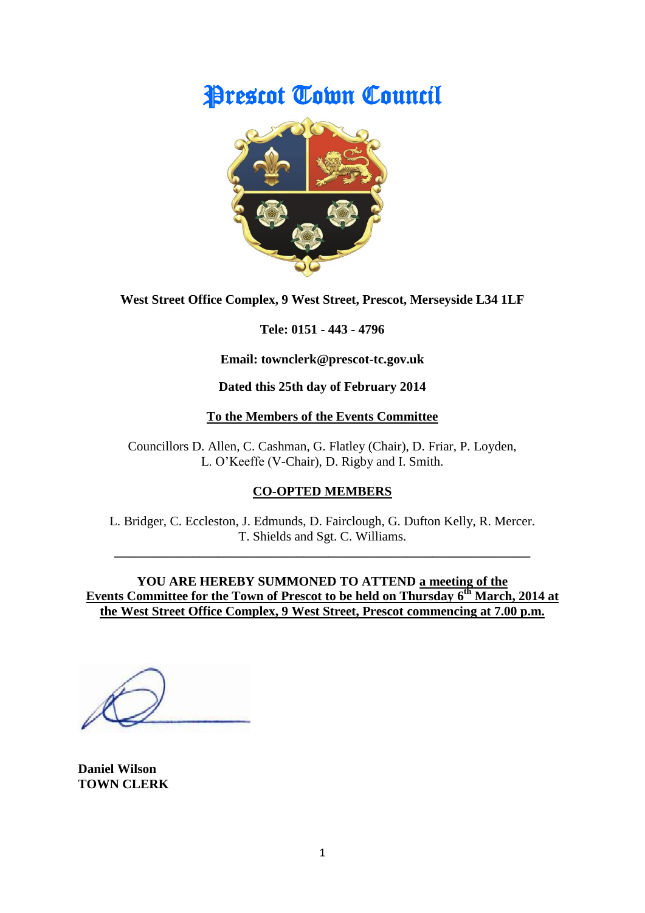# Prescot Town Council



**West Street Office Complex, 9 West Street, Prescot, Merseyside L34 1LF**

**Tele: 0151 - 443 - 4796**

**Email: townclerk@prescot-tc.gov.uk**

**Dated this 25th day of February 2014**

# **To the Members of the Events Committee**

Councillors D. Allen, C. Cashman, G. Flatley (Chair), D. Friar, P. Loyden, L. O'Keeffe (V-Chair), D. Rigby and I. Smith.

# **CO-OPTED MEMBERS**

L. Bridger, C. Eccleston, J. Edmunds, D. Fairclough, G. Dufton Kelly, R. Mercer. T. Shields and Sgt. C. Williams.

**\_\_\_\_\_\_\_\_\_\_\_\_\_\_\_\_\_\_\_\_\_\_\_\_\_\_\_\_\_\_\_\_\_\_\_\_\_\_\_\_\_\_\_\_\_\_\_\_\_\_\_\_\_\_\_\_\_\_\_\_\_\_\_\_**

**YOU ARE HEREBY SUMMONED TO ATTEND a meeting of the Events Committee for the Town of Prescot to be held on Thursday 6 th March, 2014 at the West Street Office Complex, 9 West Street, Prescot commencing at 7.00 p.m.**

**Daniel Wilson TOWN CLERK**